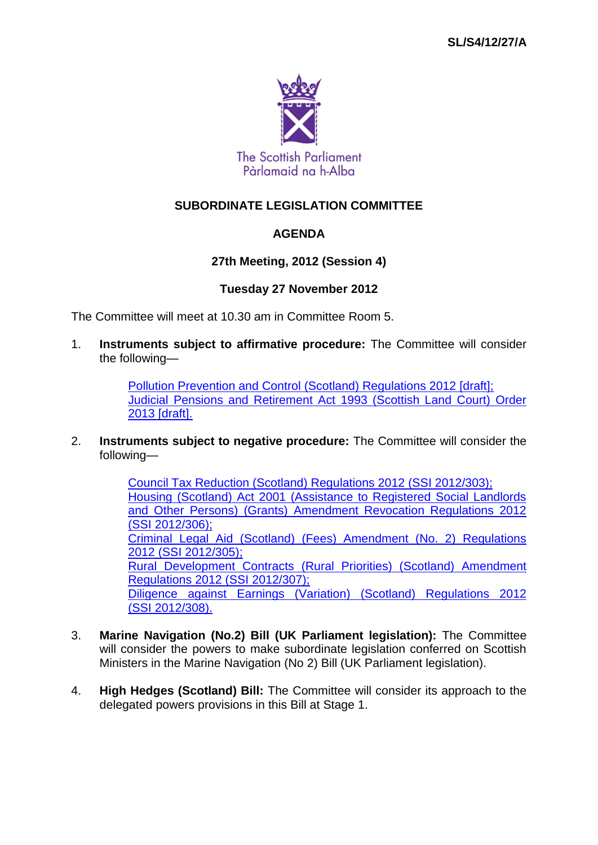

# **SUBORDINATE LEGISLATION COMMITTEE**

## **AGENDA**

## **27th Meeting, 2012 (Session 4)**

### **Tuesday 27 November 2012**

The Committee will meet at 10.30 am in Committee Room 5.

1. **Instruments subject to affirmative procedure:** The Committee will consider the following—

> [Pollution Prevention and Control \(Scotland\) Regulations 2012 \[draft\];](http://www.legislation.gov.uk/sdsi/2012/9780111018408/contents) [Judicial Pensions and Retirement Act 1993 \(Scottish Land Court\) Order](http://www.legislation.gov.uk/sdsi/2013/9780111018422/contents)  [2013 \[draft\].](http://www.legislation.gov.uk/sdsi/2013/9780111018422/contents)

2. **Instruments subject to negative procedure:** The Committee will consider the following—

> [Council Tax Reduction \(Scotland\) Regulations 2012 \(SSI](http://www.legislation.gov.uk/ssi/2012/303/contents/made) 2012/303); [Housing \(Scotland\) Act 2001 \(Assistance to Registered Social Landlords](http://www.legislation.gov.uk/ssi/2012/306/contents/made)  [and Other Persons\) \(Grants\) Amendment Revocation Regulations 2012](http://www.legislation.gov.uk/ssi/2012/306/contents/made)  (SSI [2012/306\);](http://www.legislation.gov.uk/ssi/2012/306/contents/made) [Criminal Legal Aid \(Scotland\) \(Fees\) Amendment \(No. 2\) Regulations](http://www.legislation.gov.uk/ssi/2012/305/contents/made)  2012 (SSI [2012/305\);](http://www.legislation.gov.uk/ssi/2012/305/contents/made) [Rural Development Contracts \(Rural Priorities\) \(Scotland\) Amendment](http://www.legislation.gov.uk/ssi/2012/307/contents/made)  [Regulations 2012 \(SSI](http://www.legislation.gov.uk/ssi/2012/307/contents/made) 2012/307); [Diligence against Earnings \(Variation\) \(Scotland\) Regulations 2012](http://www.legislation.gov.uk/ssi/2012/308/contents/made)  (SSI [2012/308\).](http://www.legislation.gov.uk/ssi/2012/308/contents/made)

- 3. **Marine Navigation (No.2) Bill (UK Parliament legislation):** The Committee will consider the powers to make subordinate legislation conferred on Scottish Ministers in the Marine Navigation (No 2) Bill (UK Parliament legislation).
- 4. **High Hedges (Scotland) Bill:** The Committee will consider its approach to the delegated powers provisions in this Bill at Stage 1.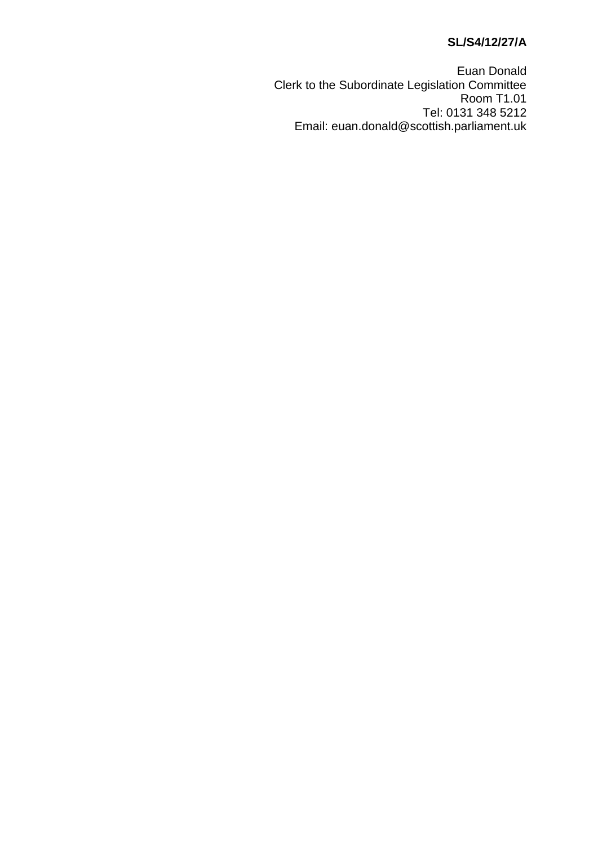# **SL/S4/12/27/A**

Euan Donald Clerk to the Subordinate Legislation Committee Room T1.01 Tel: 0131 348 5212 Email: euan.donald@scottish.parliament.uk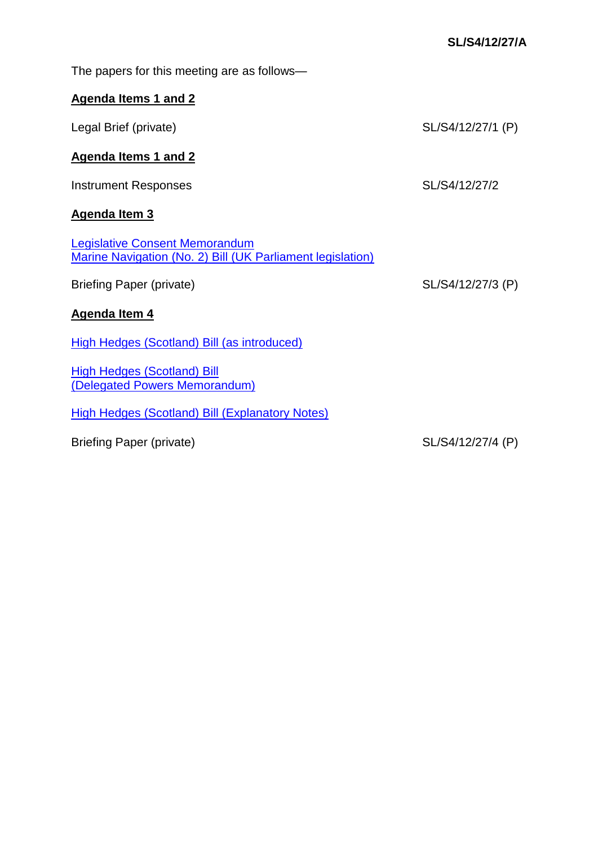| The papers for this meeting are as follows—                                                         |                   |
|-----------------------------------------------------------------------------------------------------|-------------------|
| <b>Agenda Items 1 and 2</b>                                                                         |                   |
| Legal Brief (private)                                                                               | SL/S4/12/27/1 (P) |
| Agenda Items 1 and 2                                                                                |                   |
| <b>Instrument Responses</b>                                                                         | SL/S4/12/27/2     |
| <b>Agenda Item 3</b>                                                                                |                   |
| <b>Legislative Consent Memorandum</b><br>Marine Navigation (No. 2) Bill (UK Parliament legislation) |                   |
| <b>Briefing Paper (private)</b>                                                                     | SL/S4/12/27/3 (P) |
| Agenda Item 4                                                                                       |                   |
| High Hedges (Scotland) Bill (as introduced)                                                         |                   |
| <b>High Hedges (Scotland) Bill</b><br>(Delegated Powers Memorandum)                                 |                   |
| <b>High Hedges (Scotland) Bill (Explanatory Notes)</b>                                              |                   |
| Briefing Paper (private)                                                                            | SL/S4/12/27/4 (P) |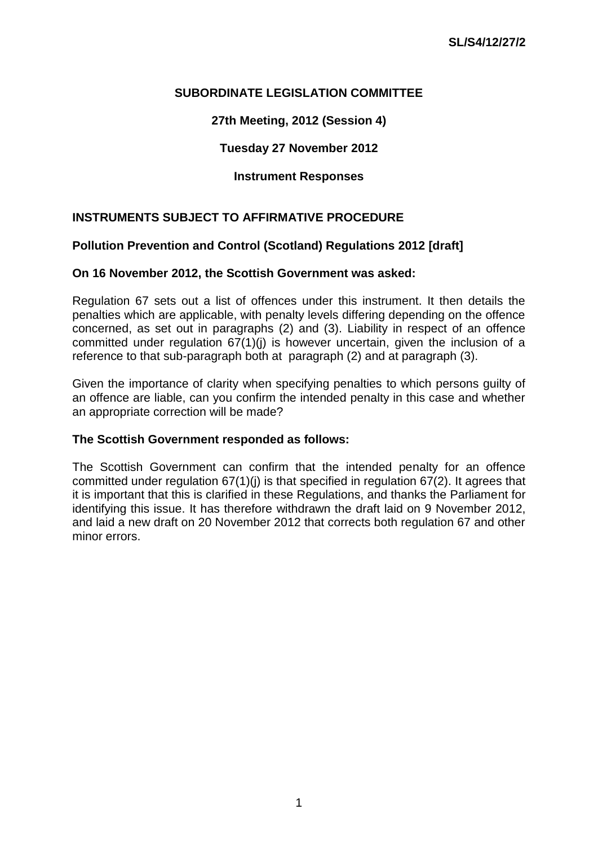## **SUBORDINATE LEGISLATION COMMITTEE**

# **27th Meeting, 2012 (Session 4)**

## **Tuesday 27 November 2012**

## **Instrument Responses**

## **INSTRUMENTS SUBJECT TO AFFIRMATIVE PROCEDURE**

## **Pollution Prevention and Control (Scotland) Regulations 2012 [draft]**

### **On 16 November 2012, the Scottish Government was asked:**

Regulation 67 sets out a list of offences under this instrument. It then details the penalties which are applicable, with penalty levels differing depending on the offence concerned, as set out in paragraphs (2) and (3). Liability in respect of an offence committed under regulation 67(1)(j) is however uncertain, given the inclusion of a reference to that sub-paragraph both at paragraph (2) and at paragraph (3).

Given the importance of clarity when specifying penalties to which persons guilty of an offence are liable, can you confirm the intended penalty in this case and whether an appropriate correction will be made?

### **The Scottish Government responded as follows:**

The Scottish Government can confirm that the intended penalty for an offence committed under regulation 67(1)(j) is that specified in regulation 67(2). It agrees that it is important that this is clarified in these Regulations, and thanks the Parliament for identifying this issue. It has therefore withdrawn the draft laid on 9 November 2012, and laid a new draft on 20 November 2012 that corrects both regulation 67 and other minor errors.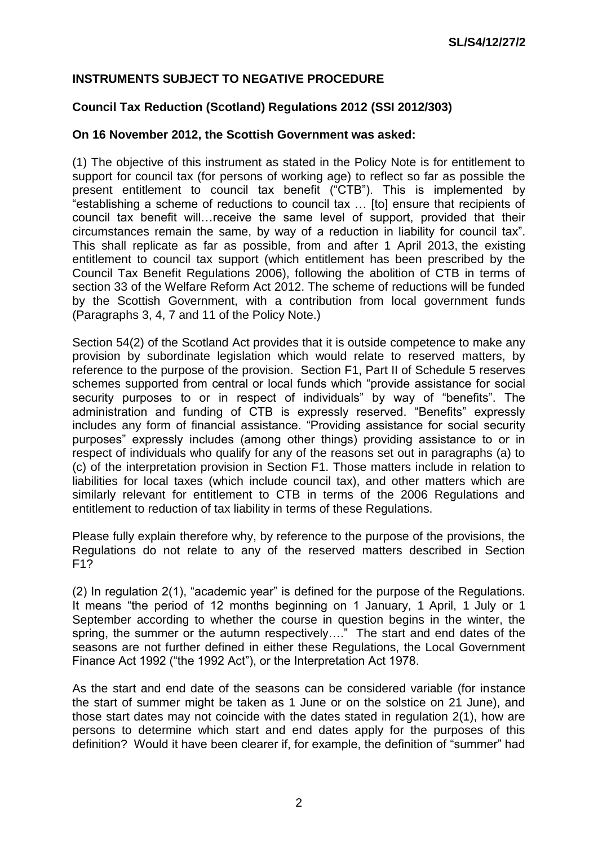## **INSTRUMENTS SUBJECT TO NEGATIVE PROCEDURE**

### **Council Tax Reduction (Scotland) Regulations 2012 (SSI 2012/303)**

#### **On 16 November 2012, the Scottish Government was asked:**

(1) The objective of this instrument as stated in the Policy Note is for entitlement to support for council tax (for persons of working age) to reflect so far as possible the present entitlement to council tax benefit ("CTB"). This is implemented by "establishing a scheme of reductions to council tax … [to] ensure that recipients of council tax benefit will…receive the same level of support, provided that their circumstances remain the same, by way of a reduction in liability for council tax". This shall replicate as far as possible, from and after 1 April 2013, the existing entitlement to council tax support (which entitlement has been prescribed by the Council Tax Benefit Regulations 2006), following the abolition of CTB in terms of section 33 of the Welfare Reform Act 2012. The scheme of reductions will be funded by the Scottish Government, with a contribution from local government funds (Paragraphs 3, 4, 7 and 11 of the Policy Note.)

Section 54(2) of the Scotland Act provides that it is outside competence to make any provision by subordinate legislation which would relate to reserved matters, by reference to the purpose of the provision. Section F1, Part II of Schedule 5 reserves schemes supported from central or local funds which "provide assistance for social security purposes to or in respect of individuals" by way of "benefits". The administration and funding of CTB is expressly reserved. "Benefits" expressly includes any form of financial assistance. "Providing assistance for social security purposes" expressly includes (among other things) providing assistance to or in respect of individuals who qualify for any of the reasons set out in paragraphs (a) to (c) of the interpretation provision in Section F1. Those matters include in relation to liabilities for local taxes (which include council tax), and other matters which are similarly relevant for entitlement to CTB in terms of the 2006 Regulations and entitlement to reduction of tax liability in terms of these Regulations.

Please fully explain therefore why, by reference to the purpose of the provisions, the Regulations do not relate to any of the reserved matters described in Section F1?

(2) In regulation 2(1), "academic year" is defined for the purpose of the Regulations. It means "the period of 12 months beginning on 1 January, 1 April, 1 July or 1 September according to whether the course in question begins in the winter, the spring, the summer or the autumn respectively…." The start and end dates of the seasons are not further defined in either these Regulations, the Local Government Finance Act 1992 ("the 1992 Act"), or the Interpretation Act 1978.

As the start and end date of the seasons can be considered variable (for instance the start of summer might be taken as 1 June or on the solstice on 21 June), and those start dates may not coincide with the dates stated in regulation 2(1), how are persons to determine which start and end dates apply for the purposes of this definition? Would it have been clearer if, for example, the definition of "summer" had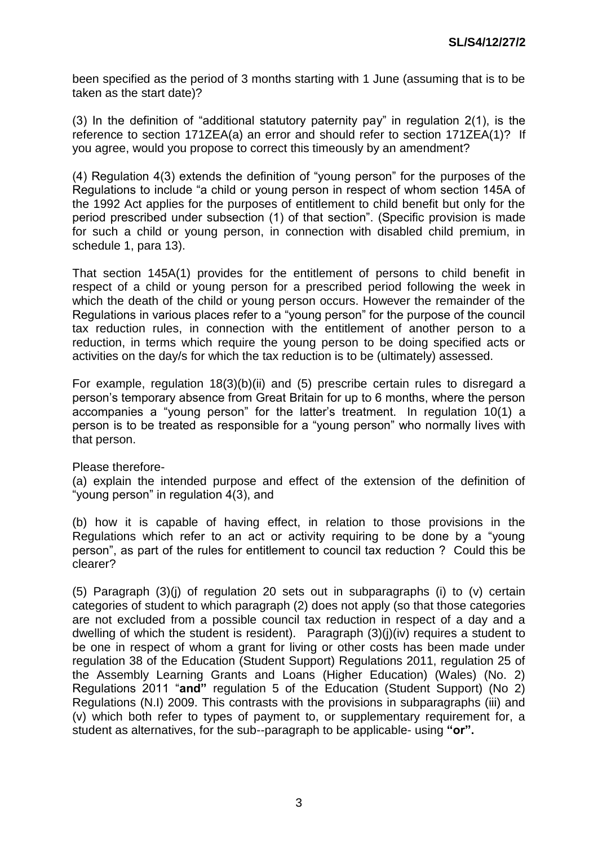been specified as the period of 3 months starting with 1 June (assuming that is to be taken as the start date)?

(3) In the definition of "additional statutory paternity pay" in regulation 2(1), is the reference to section 171ZEA(a) an error and should refer to section 171ZEA(1)? If you agree, would you propose to correct this timeously by an amendment?

(4) Regulation 4(3) extends the definition of "young person" for the purposes of the Regulations to include "a child or young person in respect of whom section 145A of the 1992 Act applies for the purposes of entitlement to child benefit but only for the period prescribed under subsection (1) of that section". (Specific provision is made for such a child or young person, in connection with disabled child premium, in schedule 1, para 13).

That section 145A(1) provides for the entitlement of persons to child benefit in respect of a child or young person for a prescribed period following the week in which the death of the child or young person occurs. However the remainder of the Regulations in various places refer to a "young person" for the purpose of the council tax reduction rules, in connection with the entitlement of another person to a reduction, in terms which require the young person to be doing specified acts or activities on the day/s for which the tax reduction is to be (ultimately) assessed.

For example, regulation 18(3)(b)(ii) and (5) prescribe certain rules to disregard a person's temporary absence from Great Britain for up to 6 months, where the person accompanies a "young person" for the latter's treatment. In regulation 10(1) a person is to be treated as responsible for a "young person" who normally lives with that person.

Please therefore-

(a) explain the intended purpose and effect of the extension of the definition of "young person" in regulation 4(3), and

(b) how it is capable of having effect, in relation to those provisions in the Regulations which refer to an act or activity requiring to be done by a "young person", as part of the rules for entitlement to council tax reduction ? Could this be clearer?

(5) Paragraph (3)(j) of regulation 20 sets out in subparagraphs (i) to (v) certain categories of student to which paragraph (2) does not apply (so that those categories are not excluded from a possible council tax reduction in respect of a day and a dwelling of which the student is resident). Paragraph (3)(j)(iv) requires a student to be one in respect of whom a grant for living or other costs has been made under regulation 38 of the Education (Student Support) Regulations 2011, regulation 25 of the Assembly Learning Grants and Loans (Higher Education) (Wales) (No. 2) Regulations 2011 "**and"** regulation 5 of the Education (Student Support) (No 2) Regulations (N.I) 2009. This contrasts with the provisions in subparagraphs (iii) and (v) which both refer to types of payment to, or supplementary requirement for, a student as alternatives, for the sub--paragraph to be applicable- using **"or".**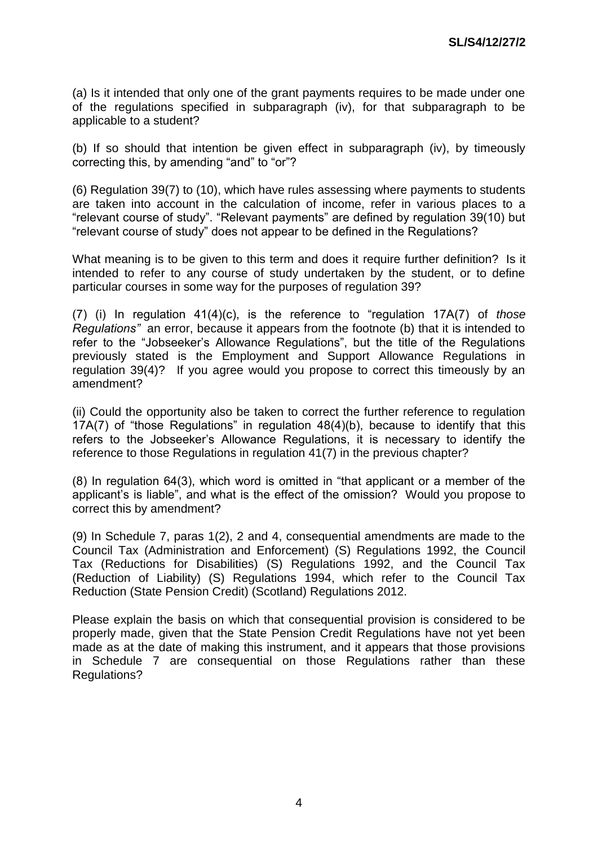(a) Is it intended that only one of the grant payments requires to be made under one of the regulations specified in subparagraph (iv), for that subparagraph to be applicable to a student?

(b) If so should that intention be given effect in subparagraph (iv), by timeously correcting this, by amending "and" to "or"?

(6) Regulation 39(7) to (10), which have rules assessing where payments to students are taken into account in the calculation of income, refer in various places to a "relevant course of study". "Relevant payments" are defined by regulation 39(10) but "relevant course of study" does not appear to be defined in the Regulations?

What meaning is to be given to this term and does it require further definition? Is it intended to refer to any course of study undertaken by the student, or to define particular courses in some way for the purposes of regulation 39?

(7) (i) In regulation 41(4)(c), is the reference to "regulation 17A(7) of *those Regulations"* an error, because it appears from the footnote (b) that it is intended to refer to the "Jobseeker's Allowance Regulations", but the title of the Regulations previously stated is the Employment and Support Allowance Regulations in regulation 39(4)? If you agree would you propose to correct this timeously by an amendment?

(ii) Could the opportunity also be taken to correct the further reference to regulation 17A(7) of "those Regulations" in regulation 48(4)(b), because to identify that this refers to the Jobseeker's Allowance Regulations, it is necessary to identify the reference to those Regulations in regulation 41(7) in the previous chapter?

(8) In regulation 64(3), which word is omitted in "that applicant or a member of the applicant's is liable", and what is the effect of the omission? Would you propose to correct this by amendment?

(9) In Schedule 7, paras 1(2), 2 and 4, consequential amendments are made to the Council Tax (Administration and Enforcement) (S) Regulations 1992, the Council Tax (Reductions for Disabilities) (S) Regulations 1992, and the Council Tax (Reduction of Liability) (S) Regulations 1994, which refer to the Council Tax Reduction (State Pension Credit) (Scotland) Regulations 2012.

Please explain the basis on which that consequential provision is considered to be properly made, given that the State Pension Credit Regulations have not yet been made as at the date of making this instrument, and it appears that those provisions in Schedule 7 are consequential on those Regulations rather than these Regulations?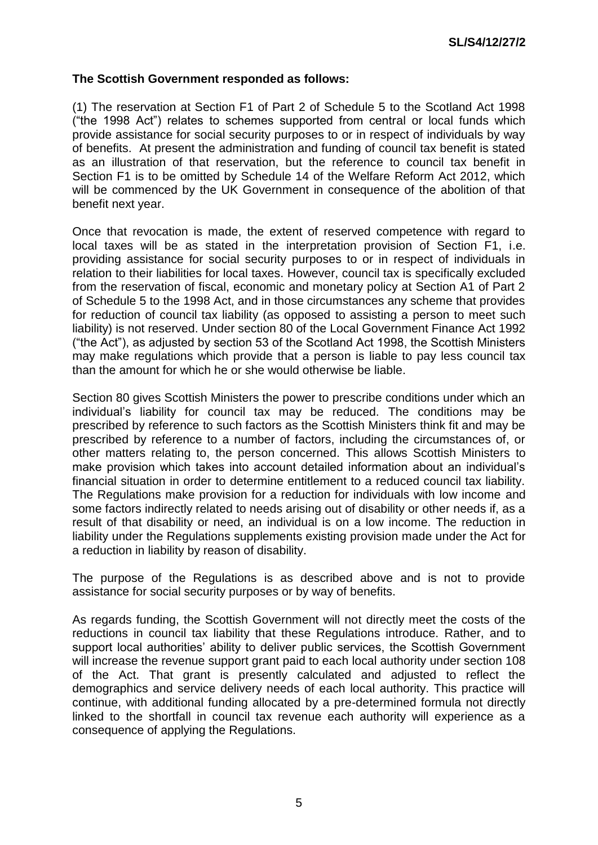#### **The Scottish Government responded as follows:**

(1) The reservation at Section F1 of Part 2 of Schedule 5 to the Scotland Act 1998 ("the 1998 Act") relates to schemes supported from central or local funds which provide assistance for social security purposes to or in respect of individuals by way of benefits. At present the administration and funding of council tax benefit is stated as an illustration of that reservation, but the reference to council tax benefit in Section F1 is to be omitted by Schedule 14 of the Welfare Reform Act 2012, which will be commenced by the UK Government in consequence of the abolition of that benefit next year.

Once that revocation is made, the extent of reserved competence with regard to local taxes will be as stated in the interpretation provision of Section F1, i.e. providing assistance for social security purposes to or in respect of individuals in relation to their liabilities for local taxes. However, council tax is specifically excluded from the reservation of fiscal, economic and monetary policy at Section A1 of Part 2 of Schedule 5 to the 1998 Act, and in those circumstances any scheme that provides for reduction of council tax liability (as opposed to assisting a person to meet such liability) is not reserved. Under section 80 of the Local Government Finance Act 1992 ("the Act"), as adjusted by section 53 of the Scotland Act 1998, the Scottish Ministers may make regulations which provide that a person is liable to pay less council tax than the amount for which he or she would otherwise be liable.

Section 80 gives Scottish Ministers the power to prescribe conditions under which an individual's liability for council tax may be reduced. The conditions may be prescribed by reference to such factors as the Scottish Ministers think fit and may be prescribed by reference to a number of factors, including the circumstances of, or other matters relating to, the person concerned. This allows Scottish Ministers to make provision which takes into account detailed information about an individual's financial situation in order to determine entitlement to a reduced council tax liability. The Regulations make provision for a reduction for individuals with low income and some factors indirectly related to needs arising out of disability or other needs if, as a result of that disability or need, an individual is on a low income. The reduction in liability under the Regulations supplements existing provision made under the Act for a reduction in liability by reason of disability.

The purpose of the Regulations is as described above and is not to provide assistance for social security purposes or by way of benefits.

As regards funding, the Scottish Government will not directly meet the costs of the reductions in council tax liability that these Regulations introduce. Rather, and to support local authorities' ability to deliver public services, the Scottish Government will increase the revenue support grant paid to each local authority under section 108 of the Act. That grant is presently calculated and adjusted to reflect the demographics and service delivery needs of each local authority. This practice will continue, with additional funding allocated by a pre-determined formula not directly linked to the shortfall in council tax revenue each authority will experience as a consequence of applying the Regulations.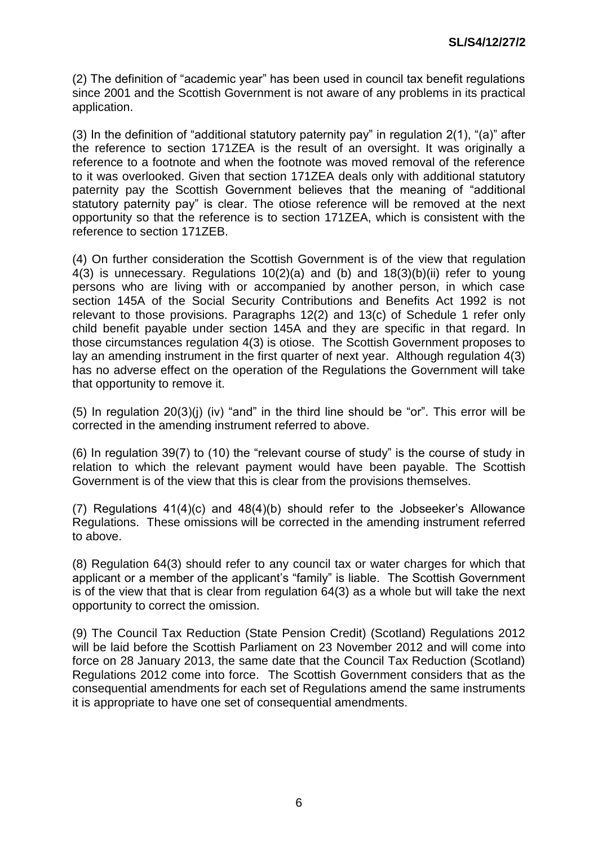(2) The definition of "academic year" has been used in council tax benefit regulations since 2001 and the Scottish Government is not aware of any problems in its practical application.

(3) In the definition of "additional statutory paternity pay" in regulation 2(1), "(a)" after the reference to section 171ZEA is the result of an oversight. It was originally a reference to a footnote and when the footnote was moved removal of the reference to it was overlooked. Given that section 171ZEA deals only with additional statutory paternity pay the Scottish Government believes that the meaning of "additional statutory paternity pay" is clear. The otiose reference will be removed at the next opportunity so that the reference is to section 171ZEA, which is consistent with the reference to section 171ZEB.

(4) On further consideration the Scottish Government is of the view that regulation 4(3) is unnecessary. Regulations 10(2)(a) and (b) and 18(3)(b)(ii) refer to young persons who are living with or accompanied by another person, in which case section 145A of the Social Security Contributions and Benefits Act 1992 is not relevant to those provisions. Paragraphs 12(2) and 13(c) of Schedule 1 refer only child benefit payable under section 145A and they are specific in that regard. In those circumstances regulation 4(3) is otiose. The Scottish Government proposes to lay an amending instrument in the first quarter of next year. Although regulation 4(3) has no adverse effect on the operation of the Regulations the Government will take that opportunity to remove it.

(5) In regulation 20(3)(j) (iv) "and" in the third line should be "or". This error will be corrected in the amending instrument referred to above.

(6) In regulation 39(7) to (10) the "relevant course of study" is the course of study in relation to which the relevant payment would have been payable. The Scottish Government is of the view that this is clear from the provisions themselves.

(7) Regulations 41(4)(c) and 48(4)(b) should refer to the Jobseeker's Allowance Regulations. These omissions will be corrected in the amending instrument referred to above.

(8) Regulation 64(3) should refer to any council tax or water charges for which that applicant or a member of the applicant's "family" is liable. The Scottish Government is of the view that that is clear from regulation 64(3) as a whole but will take the next opportunity to correct the omission.

(9) The Council Tax Reduction (State Pension Credit) (Scotland) Regulations 2012 will be laid before the Scottish Parliament on 23 November 2012 and will come into force on 28 January 2013, the same date that the Council Tax Reduction (Scotland) Regulations 2012 come into force. The Scottish Government considers that as the consequential amendments for each set of Regulations amend the same instruments it is appropriate to have one set of consequential amendments.